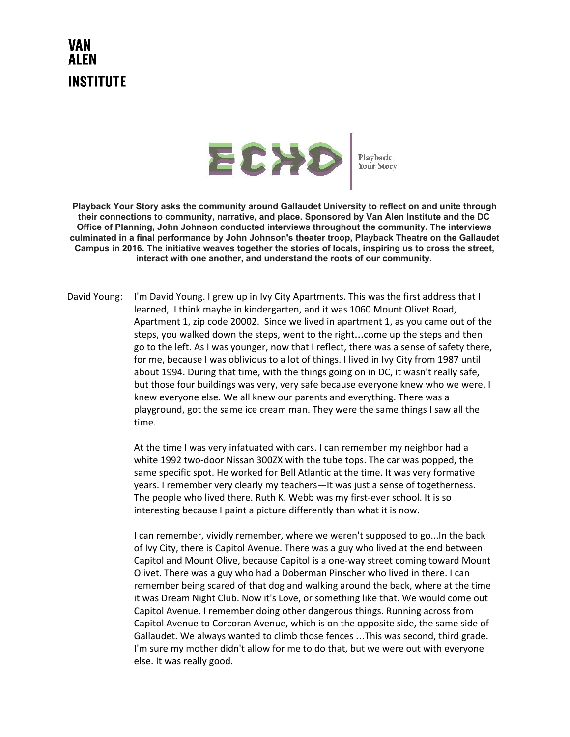## VAN AI FN **INSTITUTE**



**Playback Your Story asks the community around Gallaudet University to reflect on and unite through their connections to community, narrative, and place. Sponsored by Van Alen Institute and the DC Office of Planning, John Johnson conducted interviews throughout the community. The interviews culminated in a final performance by John Johnson's theater troop, Playback Theatre on the Gallaudet Campus in 2016. The initiative weaves together the stories of locals, inspiring us to cross the street, interact with one another, and understand the roots of our community.**

David Young: I'm David Young. I grew up in Ivy City Apartments. This was the first address that I learned, I think maybe in kindergarten, and it was 1060 Mount Olivet Road, Apartment 1, zip code 20002. Since we lived in apartment 1, as you came out of the steps, you walked down the steps, went to the right…come up the steps and then go to the left. As I was younger, now that I reflect, there was a sense of safety there, for me, because I was oblivious to a lot of things. I lived in Ivy City from 1987 until about 1994. During that time, with the things going on in DC, it wasn't really safe, but those four buildings was very, very safe because everyone knew who we were, I knew everyone else. We all knew our parents and everything. There was a playground, got the same ice cream man. They were the same things I saw all the time.

> At the time I was very infatuated with cars. I can remember my neighbor had a white 1992 two-door Nissan 300ZX with the tube tops. The car was popped, the same specific spot. He worked for Bell Atlantic at the time. It was very formative years. I remember very clearly my teachers—It was just a sense of togetherness. The people who lived there. Ruth K. Webb was my first-ever school. It is so interesting because I paint a picture differently than what it is now.

I can remember, vividly remember, where we weren't supposed to go...In the back of Ivy City, there is Capitol Avenue. There was a guy who lived at the end between Capitol and Mount Olive, because Capitol is a one-way street coming toward Mount Olivet. There was a guy who had a Doberman Pinscher who lived in there. I can remember being scared of that dog and walking around the back, where at the time it was Dream Night Club. Now it's Love, or something like that. We would come out Capitol Avenue. I remember doing other dangerous things. Running across from Capitol Avenue to Corcoran Avenue, which is on the opposite side, the same side of Gallaudet. We always wanted to climb those fences …This was second, third grade. I'm sure my mother didn't allow for me to do that, but we were out with everyone else. It was really good.